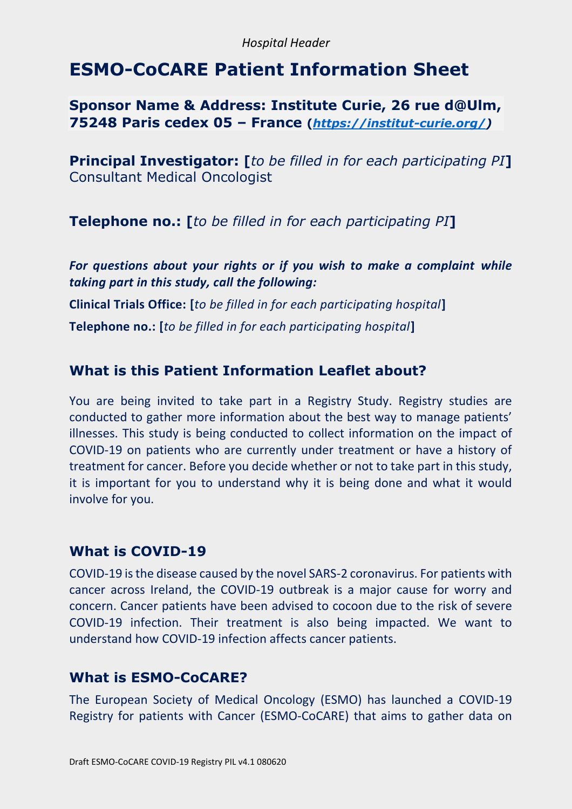#### *Hospital Header*

# **ESMO-CoCARE Patient Information Sheet**

### **Sponsor Name & Address: Institute Curie, 26 rue d@Ulm, 75248 Paris cedex 05 – France (***[https://institut-curie.org/\)](https://institut-curie.org/)*

**Principal Investigator: [***to be filled in for each participating PI***]** Consultant Medical Oncologist

**Telephone no.: [***to be filled in for each participating PI***]**

*For questions about your rights or if you wish to make a complaint while taking part in this study, call the following:*

**Clinical Trials Office: [***to be filled in for each participating hospital***]**

**Telephone no.: [***to be filled in for each participating hospital***]**

## **What is this Patient Information Leaflet about?**

You are being invited to take part in a Registry Study. Registry studies are conducted to gather more information about the best way to manage patients' illnesses. This study is being conducted to collect information on the impact of COVID-19 on patients who are currently under treatment or have a history of treatment for cancer. Before you decide whether or not to take part in this study, it is important for you to understand why it is being done and what it would involve for you.

### **What is COVID-19**

COVID-19 is the disease caused by the novel SARS-2 coronavirus. For patients with cancer across Ireland, the COVID-19 outbreak is a major cause for worry and concern. Cancer patients have been advised to cocoon due to the risk of severe COVID-19 infection. Their treatment is also being impacted. We want to understand how COVID-19 infection affects cancer patients.

### **What is ESMO-CoCARE?**

The European Society of Medical Oncology (ESMO) has launched a COVID-19 Registry for patients with Cancer (ESMO-CoCARE) that aims to gather data on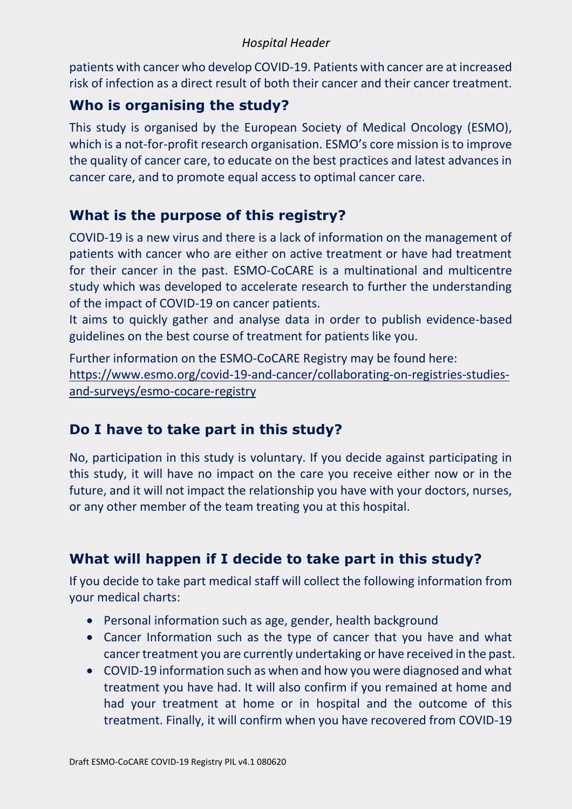#### *Hospital Header*

patients with cancer who develop COVID-19. Patients with cancer are at increased risk of infection as a direct result of both their cancer and their cancer treatment.

# **Who is organising the study?**

This study is organised by the European Society of Medical Oncology (ESMO), which is a not-for-profit research organisation. ESMO's core mission is to improve the quality of cancer care, to educate on the best practices and latest advances in cancer care, and to promote equal access to optimal cancer care.

# **What is the purpose of this registry?**

COVID-19 is a new virus and there is a lack of information on the management of patients with cancer who are either on active treatment or have had treatment for their cancer in the past. ESMO-CoCARE is a multinational and multicentre study which was developed to accelerate research to further the understanding of the impact of COVID-19 on cancer patients.

It aims to quickly gather and analyse data in order to publish evidence-based guidelines on the best course of treatment for patients like you.

Further information on the ESMO-CoCARE Registry may be found here: [https://www.esmo.org/covid-19-and-cancer/collaborating-on-registries-studies](https://www.esmo.org/covid-19-and-cancer/collaborating-on-registries-studies-and-surveys/esmo-cocare-registry)[and-surveys/esmo-cocare-registry](https://www.esmo.org/covid-19-and-cancer/collaborating-on-registries-studies-and-surveys/esmo-cocare-registry)

# **Do I have to take part in this study?**

No, participation in this study is voluntary. If you decide against participating in this study, it will have no impact on the care you receive either now or in the future, and it will not impact the relationship you have with your doctors, nurses, or any other member of the team treating you at this hospital.

# **What will happen if I decide to take part in this study?**

If you decide to take part medical staff will collect the following information from your medical charts:

- Personal information such as age, gender, health background
- Cancer Information such as the type of cancer that you have and what cancer treatment you are currently undertaking or have received in the past.
- COVID-19 information such as when and how you were diagnosed and what treatment you have had. It will also confirm if you remained at home and had your treatment at home or in hospital and the outcome of this treatment. Finally, it will confirm when you have recovered from COVID-19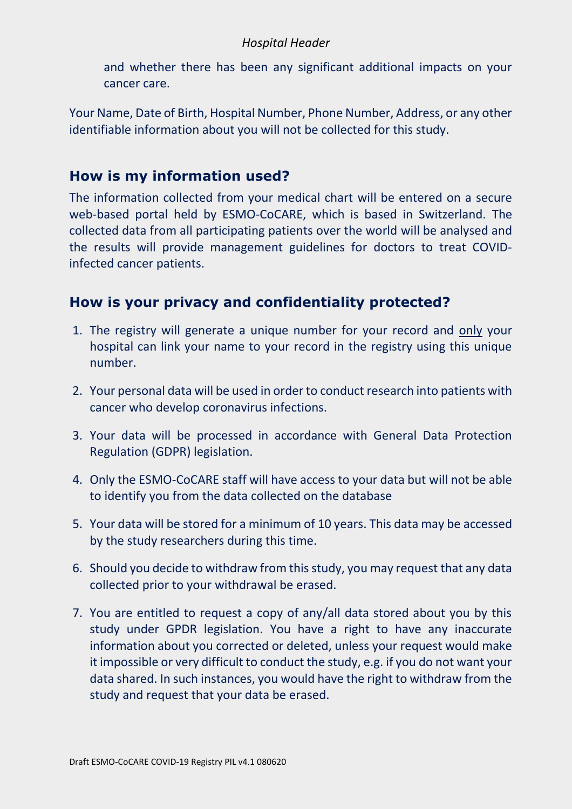#### *Hospital Header*

and whether there has been any significant additional impacts on your cancer care.

Your Name, Date of Birth, Hospital Number, Phone Number, Address, or any other identifiable information about you will not be collected for this study.

## **How is my information used?**

The information collected from your medical chart will be entered on a secure web-based portal held by ESMO-CoCARE, which is based in Switzerland. The collected data from all participating patients over the world will be analysed and the results will provide management guidelines for doctors to treat COVIDinfected cancer patients.

# **How is your privacy and confidentiality protected?**

- 1. The registry will generate a unique number for your record and only your hospital can link your name to your record in the registry using this unique number.
- 2. Your personal data will be used in order to conduct research into patients with cancer who develop coronavirus infections.
- 3. Your data will be processed in accordance with General Data Protection Regulation (GDPR) legislation.
- 4. Only the ESMO-CoCARE staff will have access to your data but will not be able to identify you from the data collected on the database
- 5. Your data will be stored for a minimum of 10 years. This data may be accessed by the study researchers during this time.
- 6. Should you decide to withdraw from this study, you may request that any data collected prior to your withdrawal be erased.
- 7. You are entitled to request a copy of any/all data stored about you by this study under GPDR legislation. You have a right to have any inaccurate information about you corrected or deleted, unless your request would make it impossible or very difficult to conduct the study, e.g. if you do not want your data shared. In such instances, you would have the right to withdraw from the study and request that your data be erased.